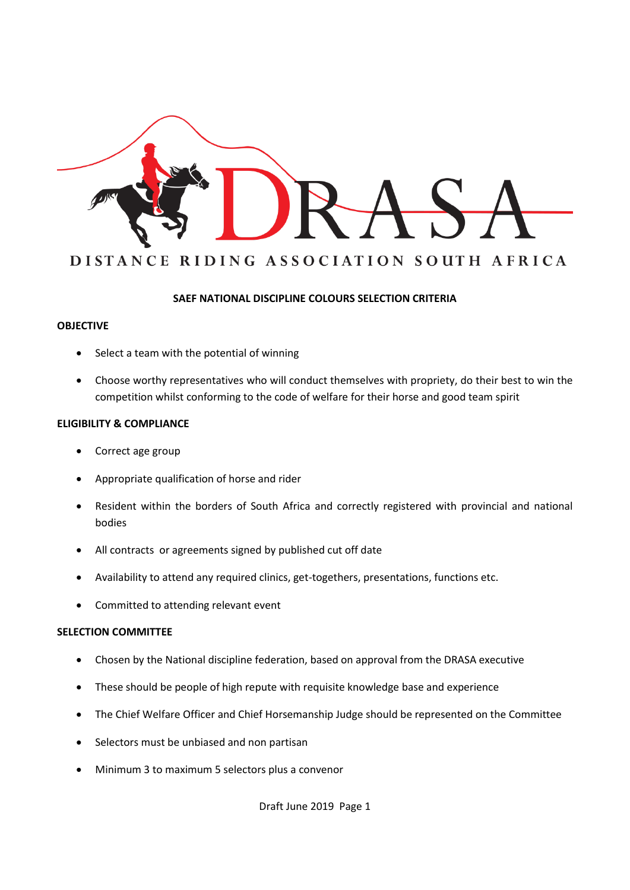

### **SAEF NATIONAL DISCIPLINE COLOURS SELECTION CRITERIA**

### **OBJECTIVE**

- Select a team with the potential of winning
- Choose worthy representatives who will conduct themselves with propriety, do their best to win the competition whilst conforming to the code of welfare for their horse and good team spirit

### **ELIGIBILITY & COMPLIANCE**

- Correct age group
- Appropriate qualification of horse and rider
- Resident within the borders of South Africa and correctly registered with provincial and national bodies
- All contracts or agreements signed by published cut off date
- Availability to attend any required clinics, get-togethers, presentations, functions etc.
- Committed to attending relevant event

### **SELECTION COMMITTEE**

- Chosen by the National discipline federation, based on approval from the DRASA executive
- These should be people of high repute with requisite knowledge base and experience
- The Chief Welfare Officer and Chief Horsemanship Judge should be represented on the Committee
- Selectors must be unbiased and non partisan
- Minimum 3 to maximum 5 selectors plus a convenor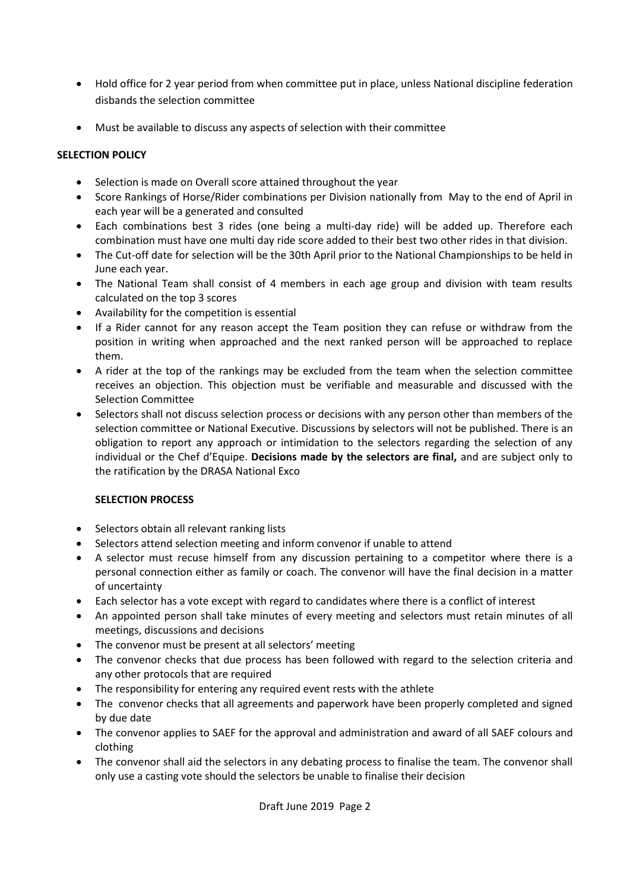- Hold office for 2 year period from when committee put in place, unless National discipline federation disbands the selection committee
- Must be available to discuss any aspects of selection with their committee

## **SELECTION POLICY**

- Selection is made on Overall score attained throughout the year
- Score Rankings of Horse/Rider combinations per Division nationally from May to the end of April in each year will be a generated and consulted
- Each combinations best 3 rides (one being a multi-day ride) will be added up. Therefore each combination must have one multi day ride score added to their best two other rides in that division.
- The Cut-off date for selection will be the 30th April prior to the National Championships to be held in June each year.
- The National Team shall consist of 4 members in each age group and division with team results calculated on the top 3 scores
- Availability for the competition is essential
- If a Rider cannot for any reason accept the Team position they can refuse or withdraw from the position in writing when approached and the next ranked person will be approached to replace them.
- A rider at the top of the rankings may be excluded from the team when the selection committee receives an objection. This objection must be verifiable and measurable and discussed with the Selection Committee
- Selectors shall not discuss selection process or decisions with any person other than members of the selection committee or National Executive. Discussions by selectors will not be published. There is an obligation to report any approach or intimidation to the selectors regarding the selection of any individual or the Chef d'Equipe. **Decisions made by the selectors are final,** and are subject only to the ratification by the DRASA National Exco

# **SELECTION PROCESS**

- Selectors obtain all relevant ranking lists
- Selectors attend selection meeting and inform convenor if unable to attend
- A selector must recuse himself from any discussion pertaining to a competitor where there is a personal connection either as family or coach. The convenor will have the final decision in a matter of uncertainty
- Each selector has a vote except with regard to candidates where there is a conflict of interest
- An appointed person shall take minutes of every meeting and selectors must retain minutes of all meetings, discussions and decisions
- The convenor must be present at all selectors' meeting
- The convenor checks that due process has been followed with regard to the selection criteria and any other protocols that are required
- The responsibility for entering any required event rests with the athlete
- The convenor checks that all agreements and paperwork have been properly completed and signed by due date
- The convenor applies to SAEF for the approval and administration and award of all SAEF colours and clothing
- The convenor shall aid the selectors in any debating process to finalise the team. The convenor shall only use a casting vote should the selectors be unable to finalise their decision